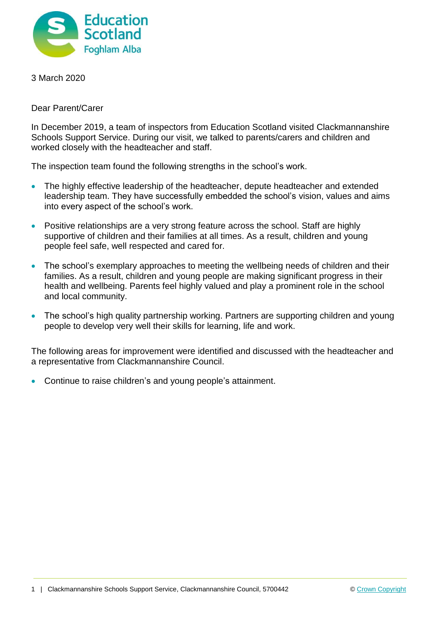

3 March 2020

Dear Parent/Carer

In December 2019, a team of inspectors from Education Scotland visited Clackmannanshire Schools Support Service. During our visit, we talked to parents/carers and children and worked closely with the headteacher and staff.

The inspection team found the following strengths in the school's work.

- The highly effective leadership of the headteacher, depute headteacher and extended leadership team. They have successfully embedded the school's vision, values and aims into every aspect of the school's work.
- Positive relationships are a very strong feature across the school. Staff are highly supportive of children and their families at all times. As a result, children and young people feel safe, well respected and cared for.
- The school's exemplary approaches to meeting the wellbeing needs of children and their families. As a result, children and young people are making significant progress in their health and wellbeing. Parents feel highly valued and play a prominent role in the school and local community.
- The school's high quality partnership working. Partners are supporting children and young people to develop very well their skills for learning, life and work.

The following areas for improvement were identified and discussed with the headteacher and a representative from Clackmannanshire Council.

Continue to raise children's and young people's attainment.